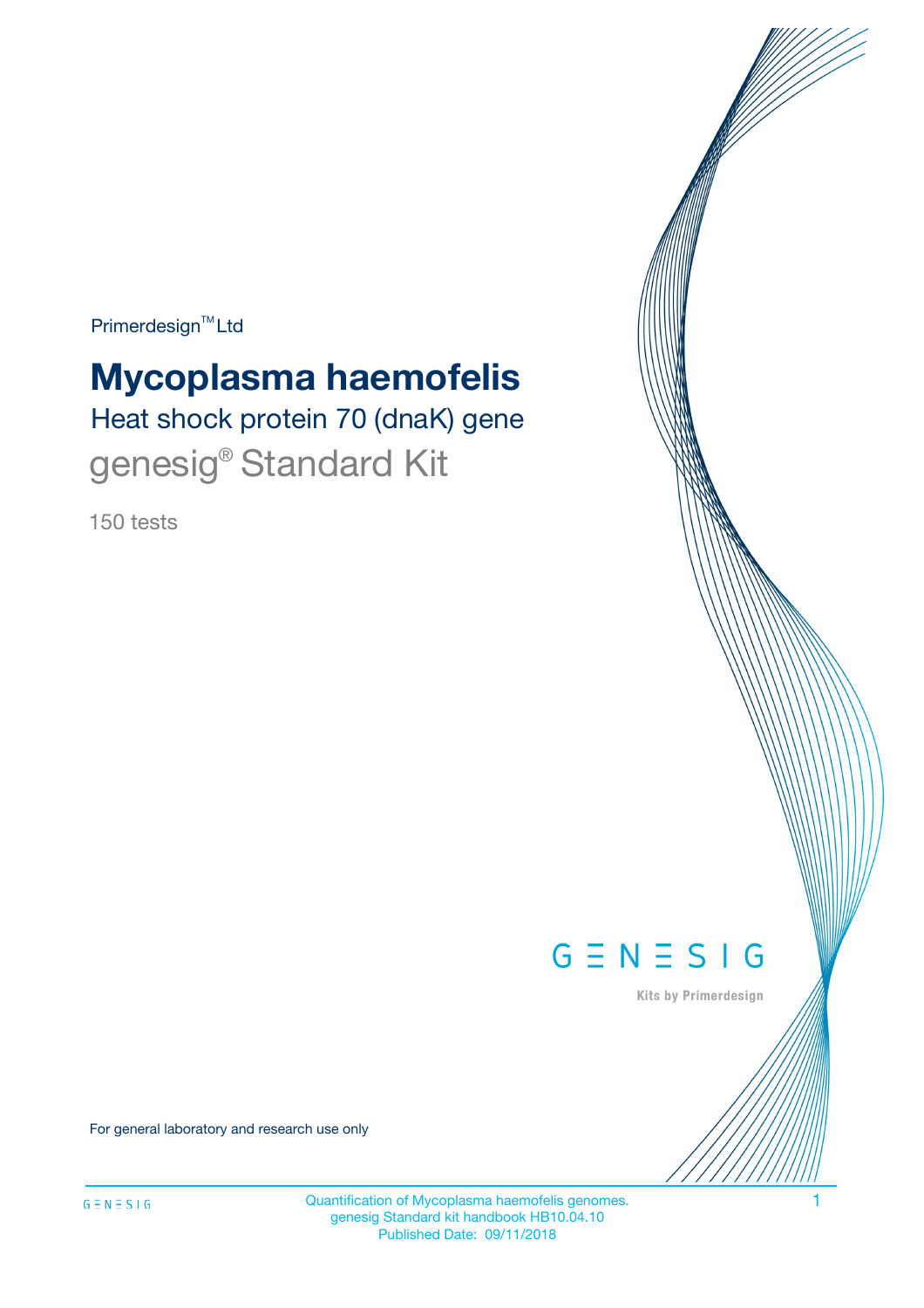Primerdesign<sup>™</sup>Ltd

# **Mycoplasma haemofelis**

Heat shock protein 70 (dnaK) gene genesig<sup>®</sup> Standard Kit

150 tests



Kits by Primerdesign

For general laboratory and research use only

Quantification of Mycoplasma haemofelis genomes. 1 genesig Standard kit handbook HB10.04.10 Published Date: 09/11/2018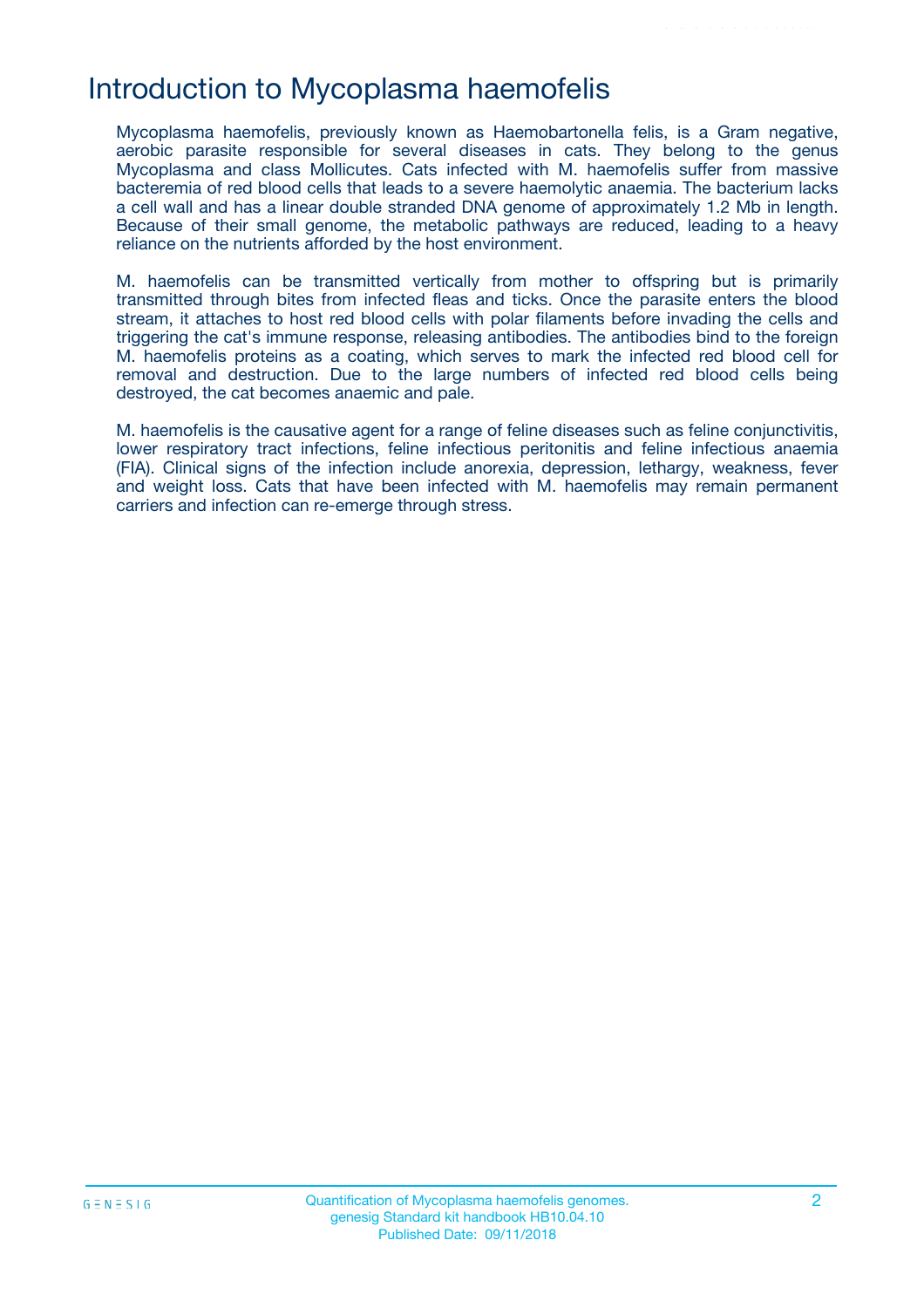## Introduction to Mycoplasma haemofelis

Mycoplasma haemofelis, previously known as Haemobartonella felis, is a Gram negative, aerobic parasite responsible for several diseases in cats. They belong to the genus Mycoplasma and class Mollicutes. Cats infected with M. haemofelis suffer from massive bacteremia of red blood cells that leads to a severe haemolytic anaemia. The bacterium lacks a cell wall and has a linear double stranded DNA genome of approximately 1.2 Mb in length. Because of their small genome, the metabolic pathways are reduced, leading to a heavy reliance on the nutrients afforded by the host environment.

M. haemofelis can be transmitted vertically from mother to offspring but is primarily transmitted through bites from infected fleas and ticks. Once the parasite enters the blood stream, it attaches to host red blood cells with polar filaments before invading the cells and triggering the cat's immune response, releasing antibodies. The antibodies bind to the foreign M. haemofelis proteins as a coating, which serves to mark the infected red blood cell for removal and destruction. Due to the large numbers of infected red blood cells being destroyed, the cat becomes anaemic and pale.

M. haemofelis is the causative agent for a range of feline diseases such as feline conjunctivitis, lower respiratory tract infections, feline infectious peritonitis and feline infectious anaemia (FIA). Clinical signs of the infection include anorexia, depression, lethargy, weakness, fever and weight loss. Cats that have been infected with M. haemofelis may remain permanent carriers and infection can re-emerge through stress.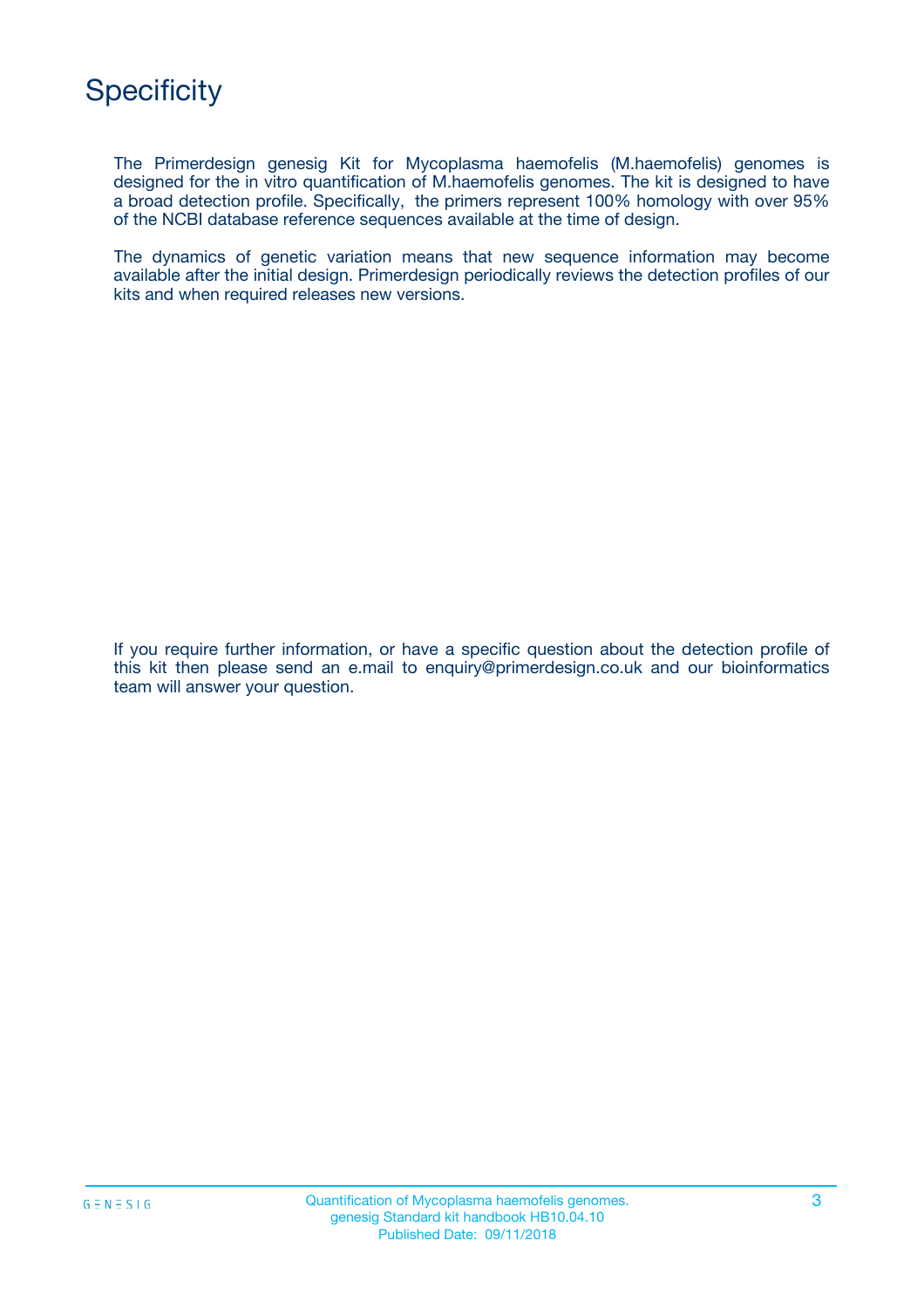The Primerdesign genesig Kit for Mycoplasma haemofelis (M.haemofelis) genomes is designed for the in vitro quantification of M.haemofelis genomes. The kit is designed to have a broad detection profile. Specifically, the primers represent 100% homology with over 95% of the NCBI database reference sequences available at the time of design.

The dynamics of genetic variation means that new sequence information may become available after the initial design. Primerdesign periodically reviews the detection profiles of our kits and when required releases new versions.

If you require further information, or have a specific question about the detection profile of this kit then please send an e.mail to enquiry@primerdesign.co.uk and our bioinformatics team will answer your question.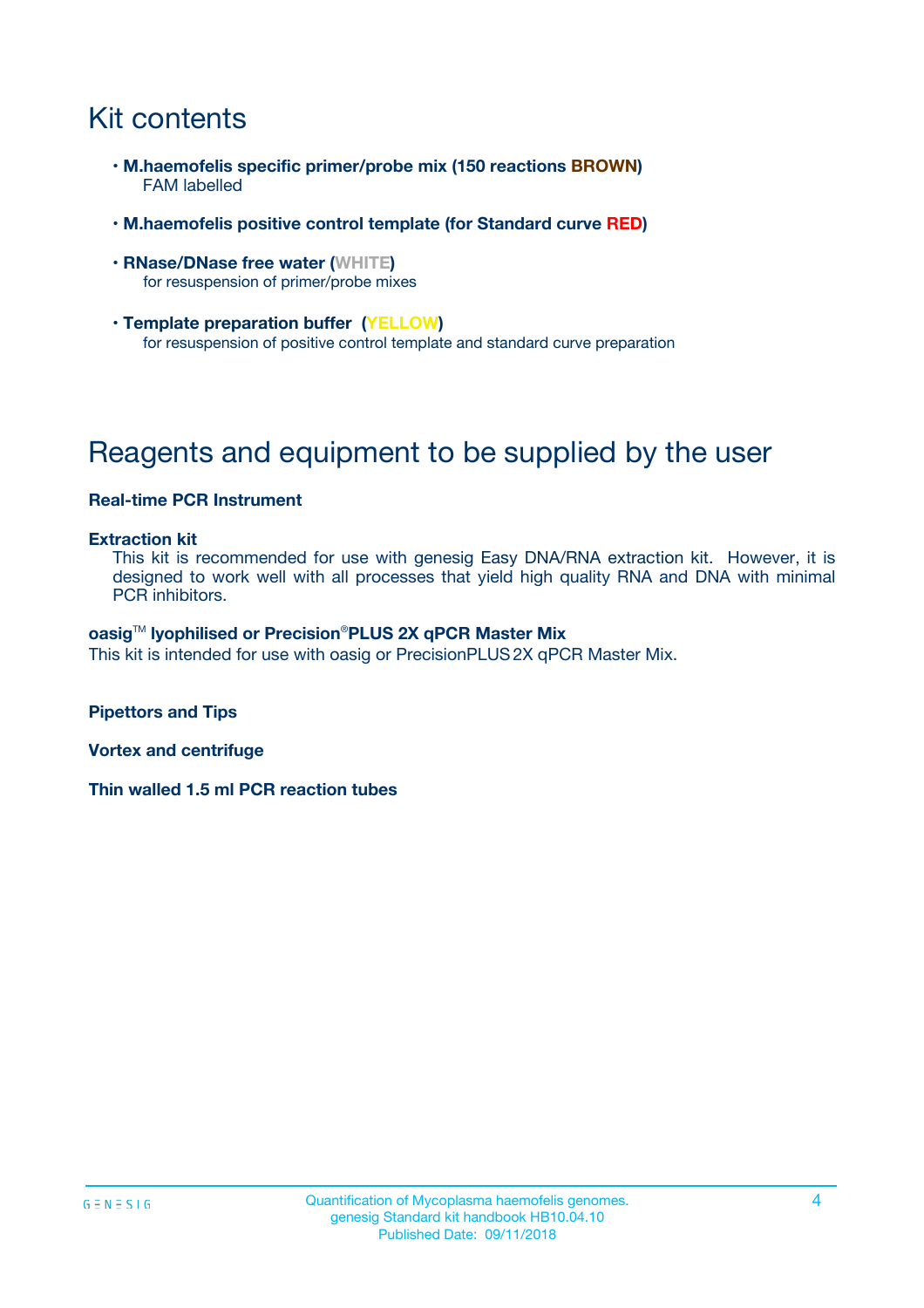# Kit contents

- **M.haemofelis specific primer/probe mix (150 reactions BROWN)** FAM labelled
- **M.haemofelis positive control template (for Standard curve RED)**
- **RNase/DNase free water (WHITE)** for resuspension of primer/probe mixes
- **Template preparation buffer (YELLOW)** for resuspension of positive control template and standard curve preparation

# Reagents and equipment to be supplied by the user

### **Real-time PCR Instrument**

#### **Extraction kit**

This kit is recommended for use with genesig Easy DNA/RNA extraction kit. However, it is designed to work well with all processes that yield high quality RNA and DNA with minimal PCR inhibitors.

#### **oasig**TM **lyophilised or Precision**®**PLUS 2X qPCR Master Mix**

This kit is intended for use with oasig or PrecisionPLUS2X qPCR Master Mix.

**Pipettors and Tips**

**Vortex and centrifuge**

**Thin walled 1.5 ml PCR reaction tubes**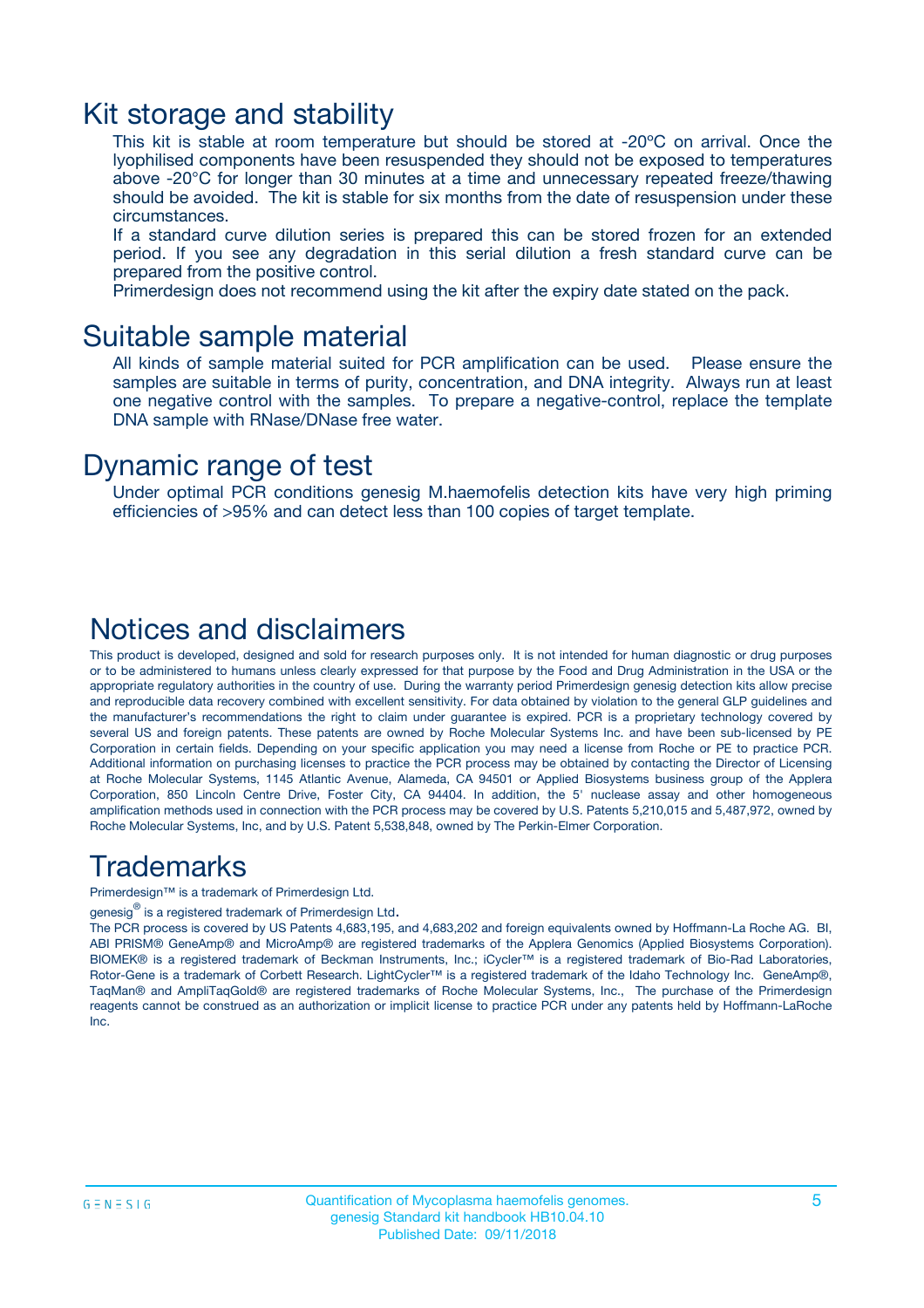### Kit storage and stability

This kit is stable at room temperature but should be stored at -20ºC on arrival. Once the lyophilised components have been resuspended they should not be exposed to temperatures above -20°C for longer than 30 minutes at a time and unnecessary repeated freeze/thawing should be avoided. The kit is stable for six months from the date of resuspension under these circumstances.

If a standard curve dilution series is prepared this can be stored frozen for an extended period. If you see any degradation in this serial dilution a fresh standard curve can be prepared from the positive control.

Primerdesign does not recommend using the kit after the expiry date stated on the pack.

### Suitable sample material

All kinds of sample material suited for PCR amplification can be used. Please ensure the samples are suitable in terms of purity, concentration, and DNA integrity. Always run at least one negative control with the samples. To prepare a negative-control, replace the template DNA sample with RNase/DNase free water.

### Dynamic range of test

Under optimal PCR conditions genesig M.haemofelis detection kits have very high priming efficiencies of >95% and can detect less than 100 copies of target template.

### Notices and disclaimers

This product is developed, designed and sold for research purposes only. It is not intended for human diagnostic or drug purposes or to be administered to humans unless clearly expressed for that purpose by the Food and Drug Administration in the USA or the appropriate regulatory authorities in the country of use. During the warranty period Primerdesign genesig detection kits allow precise and reproducible data recovery combined with excellent sensitivity. For data obtained by violation to the general GLP guidelines and the manufacturer's recommendations the right to claim under guarantee is expired. PCR is a proprietary technology covered by several US and foreign patents. These patents are owned by Roche Molecular Systems Inc. and have been sub-licensed by PE Corporation in certain fields. Depending on your specific application you may need a license from Roche or PE to practice PCR. Additional information on purchasing licenses to practice the PCR process may be obtained by contacting the Director of Licensing at Roche Molecular Systems, 1145 Atlantic Avenue, Alameda, CA 94501 or Applied Biosystems business group of the Applera Corporation, 850 Lincoln Centre Drive, Foster City, CA 94404. In addition, the 5' nuclease assay and other homogeneous amplification methods used in connection with the PCR process may be covered by U.S. Patents 5,210,015 and 5,487,972, owned by Roche Molecular Systems, Inc, and by U.S. Patent 5,538,848, owned by The Perkin-Elmer Corporation.

### Trademarks

Primerdesign™ is a trademark of Primerdesign Ltd.

genesig $^\circledR$  is a registered trademark of Primerdesign Ltd.

The PCR process is covered by US Patents 4,683,195, and 4,683,202 and foreign equivalents owned by Hoffmann-La Roche AG. BI, ABI PRISM® GeneAmp® and MicroAmp® are registered trademarks of the Applera Genomics (Applied Biosystems Corporation). BIOMEK® is a registered trademark of Beckman Instruments, Inc.; iCycler™ is a registered trademark of Bio-Rad Laboratories, Rotor-Gene is a trademark of Corbett Research. LightCycler™ is a registered trademark of the Idaho Technology Inc. GeneAmp®, TaqMan® and AmpliTaqGold® are registered trademarks of Roche Molecular Systems, Inc., The purchase of the Primerdesign reagents cannot be construed as an authorization or implicit license to practice PCR under any patents held by Hoffmann-LaRoche Inc.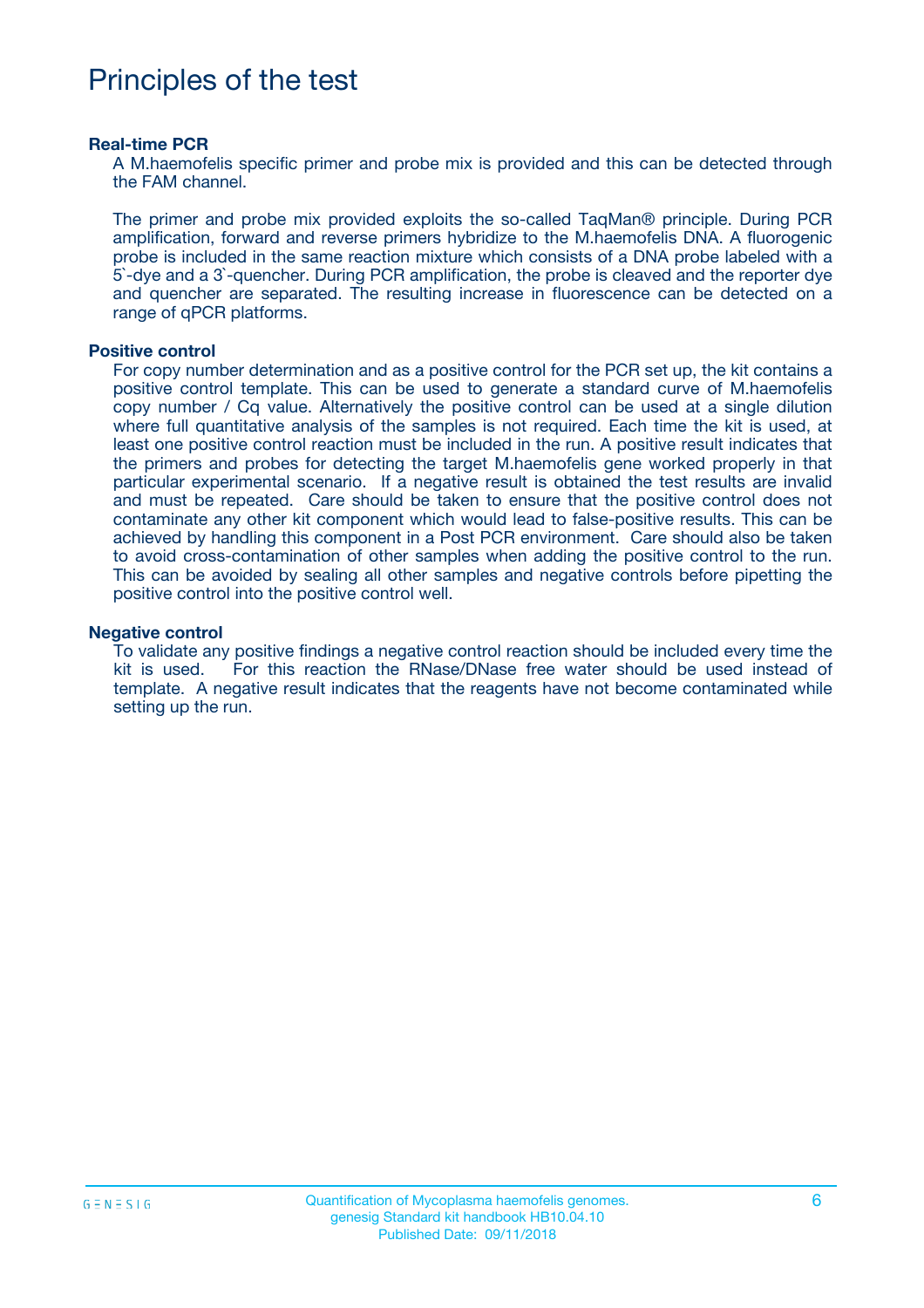# Principles of the test

#### **Real-time PCR**

A M.haemofelis specific primer and probe mix is provided and this can be detected through the FAM channel.

The primer and probe mix provided exploits the so-called TaqMan® principle. During PCR amplification, forward and reverse primers hybridize to the M.haemofelis DNA. A fluorogenic probe is included in the same reaction mixture which consists of a DNA probe labeled with a 5`-dye and a 3`-quencher. During PCR amplification, the probe is cleaved and the reporter dye and quencher are separated. The resulting increase in fluorescence can be detected on a range of qPCR platforms.

#### **Positive control**

For copy number determination and as a positive control for the PCR set up, the kit contains a positive control template. This can be used to generate a standard curve of M.haemofelis copy number / Cq value. Alternatively the positive control can be used at a single dilution where full quantitative analysis of the samples is not required. Each time the kit is used, at least one positive control reaction must be included in the run. A positive result indicates that the primers and probes for detecting the target M.haemofelis gene worked properly in that particular experimental scenario. If a negative result is obtained the test results are invalid and must be repeated. Care should be taken to ensure that the positive control does not contaminate any other kit component which would lead to false-positive results. This can be achieved by handling this component in a Post PCR environment. Care should also be taken to avoid cross-contamination of other samples when adding the positive control to the run. This can be avoided by sealing all other samples and negative controls before pipetting the positive control into the positive control well.

#### **Negative control**

To validate any positive findings a negative control reaction should be included every time the kit is used. For this reaction the RNase/DNase free water should be used instead of template. A negative result indicates that the reagents have not become contaminated while setting up the run.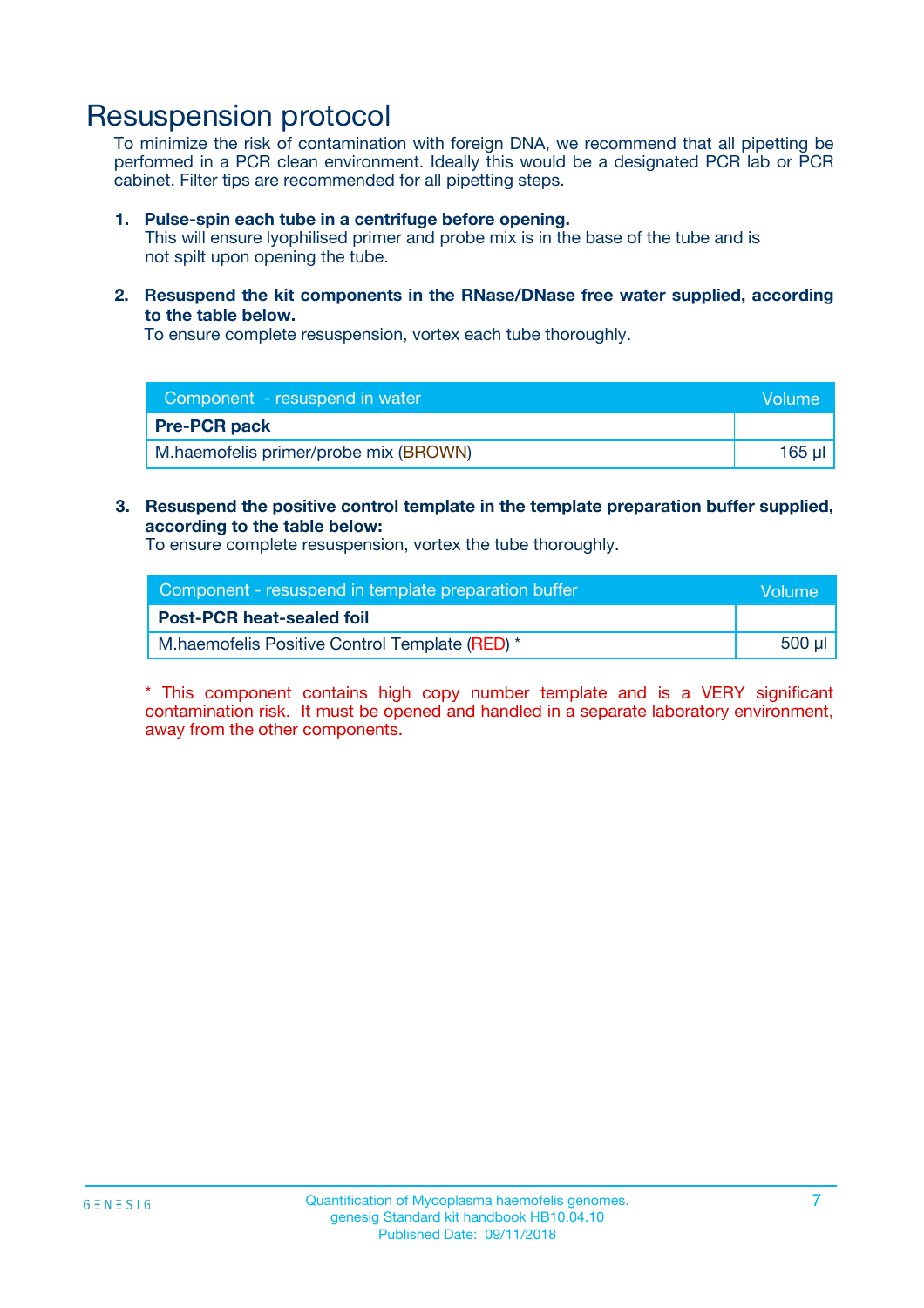## Resuspension protocol

To minimize the risk of contamination with foreign DNA, we recommend that all pipetting be performed in a PCR clean environment. Ideally this would be a designated PCR lab or PCR cabinet. Filter tips are recommended for all pipetting steps.

#### **1. Pulse-spin each tube in a centrifuge before opening.**

This will ensure lyophilised primer and probe mix is in the base of the tube and is not spilt upon opening the tube.

**2. Resuspend the kit components in the RNase/DNase free water supplied, according to the table below.**

To ensure complete resuspension, vortex each tube thoroughly.

| Component - resuspend in water        | Volume |
|---------------------------------------|--------|
| <b>Pre-PCR pack</b>                   |        |
| M.haemofelis primer/probe mix (BROWN) | 165 ul |

#### **3. Resuspend the positive control template in the template preparation buffer supplied, according to the table below:**

To ensure complete resuspension, vortex the tube thoroughly.

| Component - resuspend in template preparation buffer | Wolume! |
|------------------------------------------------------|---------|
| <b>Post-PCR heat-sealed foil</b>                     |         |
| M.haemofelis Positive Control Template (RED) *       | 500 µl  |

\* This component contains high copy number template and is a VERY significant contamination risk. It must be opened and handled in a separate laboratory environment, away from the other components.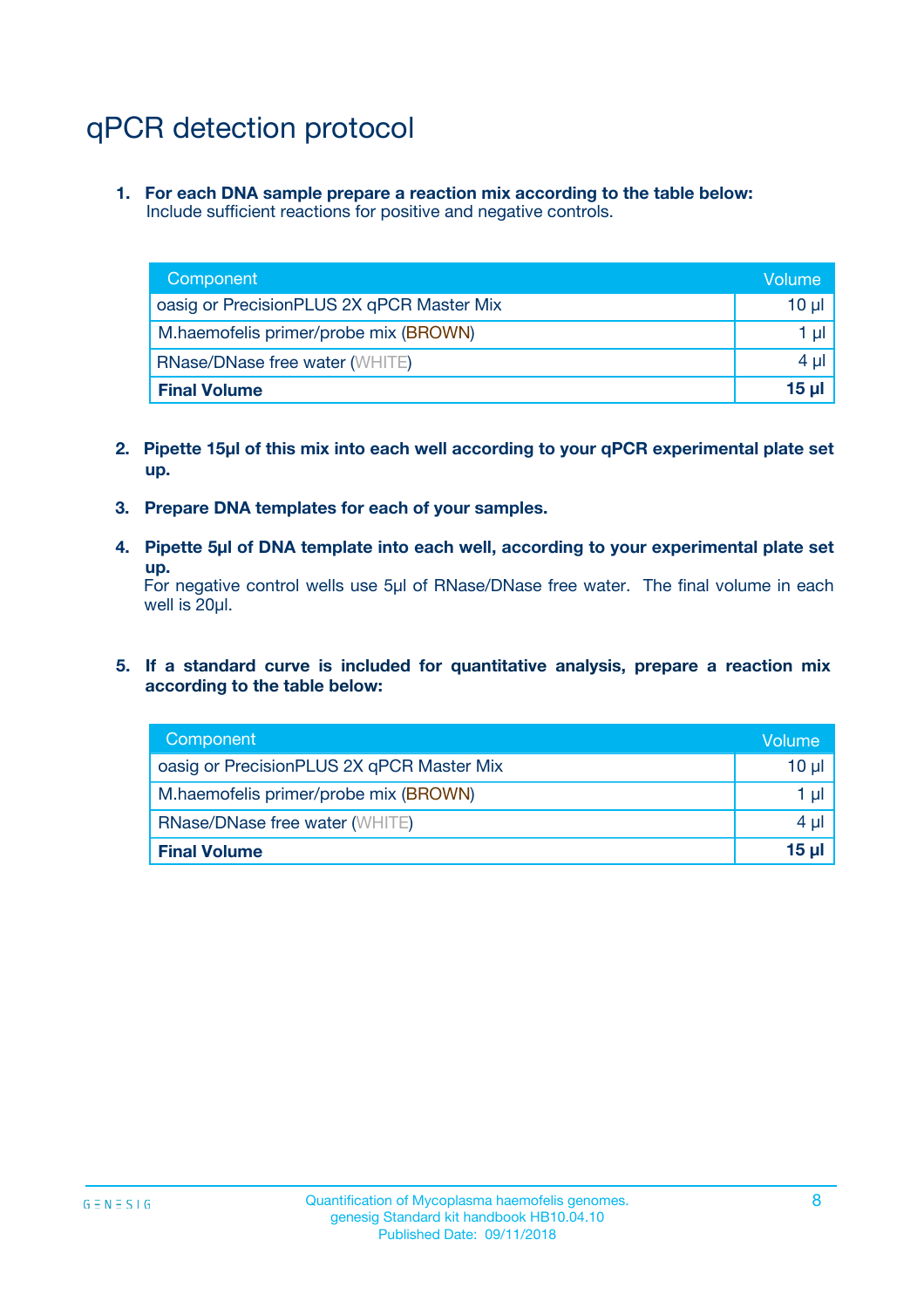# qPCR detection protocol

**1. For each DNA sample prepare a reaction mix according to the table below:** Include sufficient reactions for positive and negative controls.

| Component                                 | Volume   |
|-------------------------------------------|----------|
| oasig or PrecisionPLUS 2X qPCR Master Mix | $10 \mu$ |
| M.haemofelis primer/probe mix (BROWN)     | 1 µl     |
| <b>RNase/DNase free water (WHITE)</b>     | $4 \mu$  |
| <b>Final Volume</b>                       | $15 \mu$ |

- **2. Pipette 15µl of this mix into each well according to your qPCR experimental plate set up.**
- **3. Prepare DNA templates for each of your samples.**
- **4. Pipette 5µl of DNA template into each well, according to your experimental plate set up.**

For negative control wells use 5µl of RNase/DNase free water. The final volume in each well is 20µl.

**5. If a standard curve is included for quantitative analysis, prepare a reaction mix according to the table below:**

| Component                                 | Volume          |
|-------------------------------------------|-----------------|
| oasig or PrecisionPLUS 2X qPCR Master Mix | 10 µl           |
| M.haemofelis primer/probe mix (BROWN)     | 1 µI            |
| <b>RNase/DNase free water (WHITE)</b>     | $4 \mu$         |
| <b>Final Volume</b>                       | 15 <sub>µ</sub> |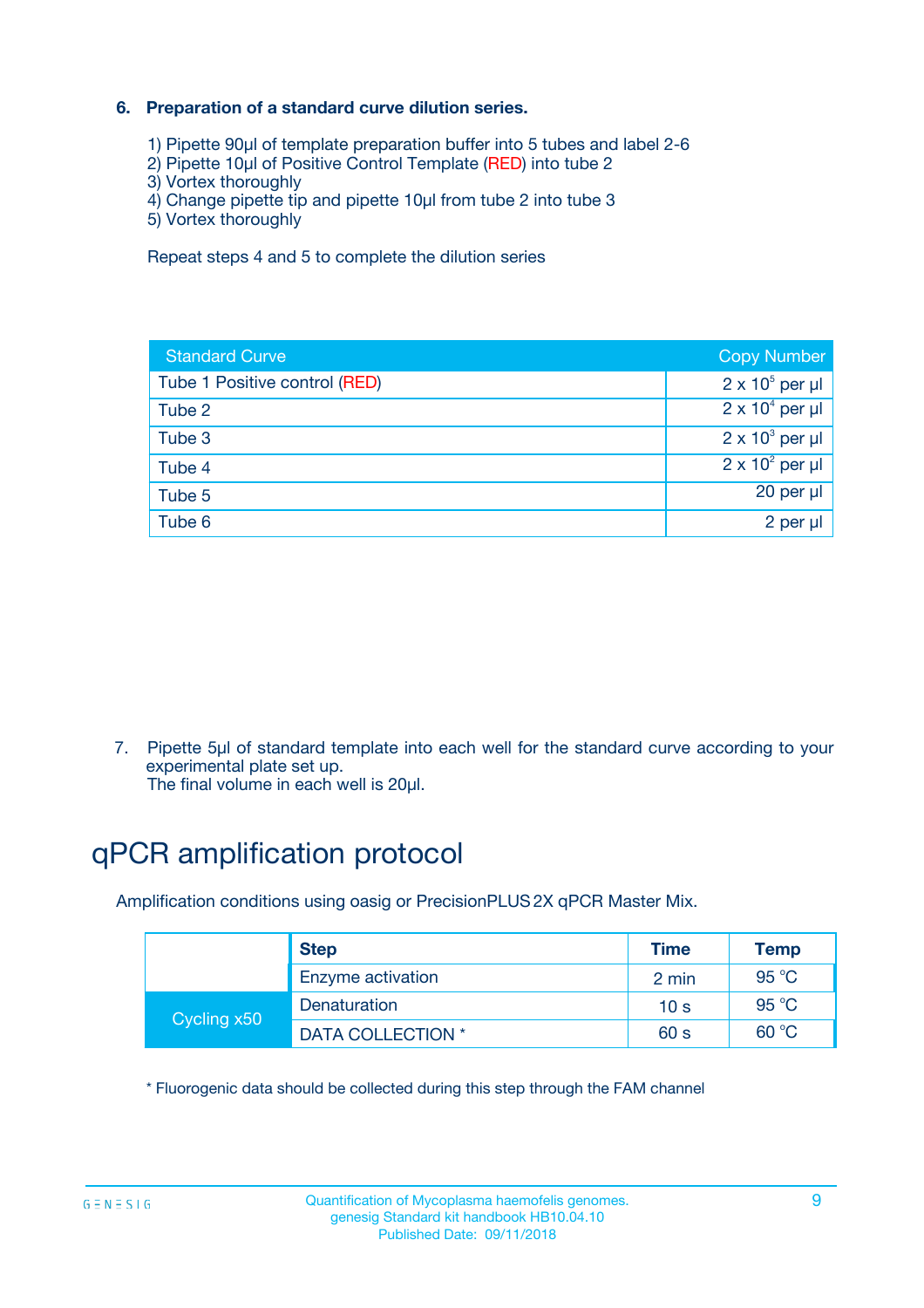### **6. Preparation of a standard curve dilution series.**

- 1) Pipette 90µl of template preparation buffer into 5 tubes and label 2-6
- 2) Pipette 10µl of Positive Control Template (RED) into tube 2
- 3) Vortex thoroughly
- 4) Change pipette tip and pipette 10µl from tube 2 into tube 3
- 5) Vortex thoroughly

Repeat steps 4 and 5 to complete the dilution series

| <b>Standard Curve</b>         | <b>Copy Number</b>     |
|-------------------------------|------------------------|
| Tube 1 Positive control (RED) | $2 \times 10^5$ per µl |
| Tube 2                        | $2 \times 10^4$ per µl |
| Tube 3                        | $2 \times 10^3$ per µl |
| Tube 4                        | $2 \times 10^2$ per µl |
| Tube 5                        | 20 per µl              |
| Tube 6                        | $2$ per $\mu$          |

7. Pipette 5µl of standard template into each well for the standard curve according to your experimental plate set up.

The final volume in each well is 20µl.

# qPCR amplification protocol

Amplification conditions using oasig or PrecisionPLUS2X qPCR Master Mix.

| <b>Step</b> |                   | <b>Time</b>     | Temp    |
|-------------|-------------------|-----------------|---------|
|             | Enzyme activation | 2 min           | 95 °C   |
| Cycling x50 | Denaturation      | 10 <sub>s</sub> | 95 $°C$ |
|             | DATA COLLECTION * | 60 s            | 60 °C   |

\* Fluorogenic data should be collected during this step through the FAM channel